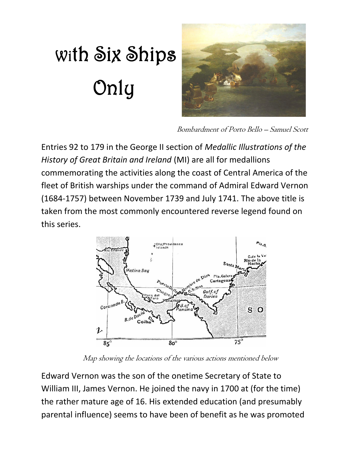## With Six Ships Only



Bombardment of Porto Bello – Samuel Scott

Entries 92 to 179 in the George II section of *Medallic Illustrations of the History of Great Britain and Ireland* (MI) are all for medallions commemorating the activities along the coast of Central America of the fleet of British warships under the command of Admiral Edward Vernon (1684-1757) between November 1739 and July 1741. The above title is taken from the most commonly encountered reverse legend found on this series.



Map showing the locations of the various actions mentioned below

Edward Vernon was the son of the onetime Secretary of State to William III, James Vernon. He joined the navy in 1700 at (for the time) the rather mature age of 16. His extended education (and presumably parental influence) seems to have been of benefit as he was promoted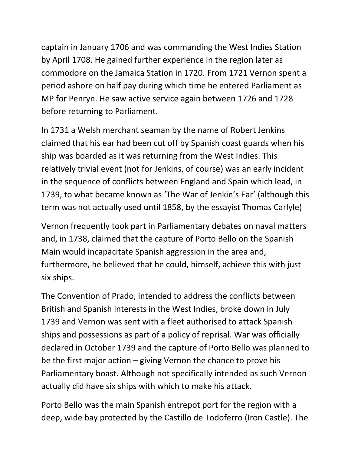captain in January 1706 and was commanding the West Indies Station by April 1708. He gained further experience in the region later as commodore on the Jamaica Station in 1720. From 1721 Vernon spent a period ashore on half pay during which time he entered Parliament as MP for Penryn. He saw active service again between 1726 and 1728 before returning to Parliament.

In 1731 a Welsh merchant seaman by the name of Robert Jenkins claimed that his ear had been cut off by Spanish coast guards when his ship was boarded as it was returning from the West Indies. This relatively trivial event (not for Jenkins, of course) was an early incident in the sequence of conflicts between England and Spain which lead, in 1739, to what became known as 'The War of Jenkin's Ear' (although this term was not actually used until 1858, by the essayist Thomas Carlyle)

Vernon frequently took part in Parliamentary debates on naval matters and, in 1738, claimed that the capture of Porto Bello on the Spanish Main would incapacitate Spanish aggression in the area and, furthermore, he believed that he could, himself, achieve this with just six ships.

The Convention of Prado, intended to address the conflicts between British and Spanish interests in the West Indies, broke down in July 1739 and Vernon was sent with a fleet authorised to attack Spanish ships and possessions as part of a policy of reprisal. War was officially declared in October 1739 and the capture of Porto Bello was planned to be the first major action – giving Vernon the chance to prove his Parliamentary boast. Although not specifically intended as such Vernon actually did have six ships with which to make his attack.

Porto Bello was the main Spanish entrepot port for the region with a deep, wide bay protected by the Castillo de Todoferro (Iron Castle). The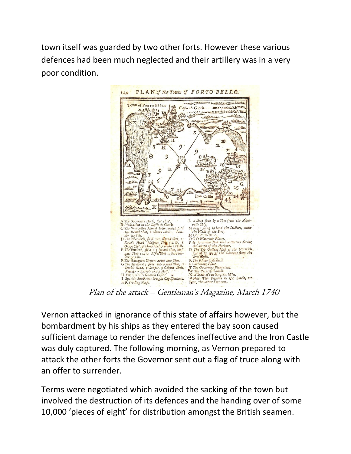town itself was guarded by two other forts. However these various defences had been much neglected and their artillery was in a very poor condition.



Vernon attacked in ignorance of this state of affairs however, but the bombardment by his ships as they entered the bay soon caused sufficient damage to render the defences ineffective and the Iron Castle was duly captured. The following morning, as Vernon prepared to attack the other forts the Governor sent out a flag of truce along with an offer to surrender.

Terms were negotiated which avoided the sacking of the town but involved the destruction of its defences and the handing over of some 10,000 'pieces of eight' for distribution amongst the British seamen.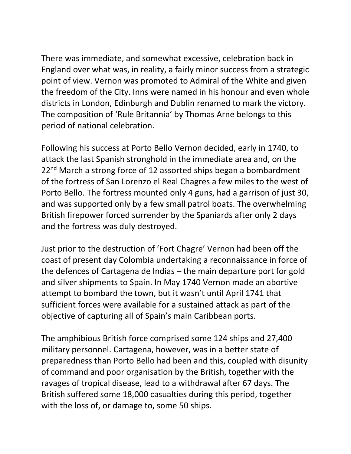There was immediate, and somewhat excessive, celebration back in England over what was, in reality, a fairly minor success from a strategic point of view. Vernon was promoted to Admiral of the White and given the freedom of the City. Inns were named in his honour and even whole districts in London, Edinburgh and Dublin renamed to mark the victory. The composition of 'Rule Britannia' by Thomas Arne belongs to this period of national celebration.

Following his success at Porto Bello Vernon decided, early in 1740, to attack the last Spanish stronghold in the immediate area and, on the 22<sup>nd</sup> March a strong force of 12 assorted ships began a bombardment of the fortress of San Lorenzo el Real Chagres a few miles to the west of Porto Bello. The fortress mounted only 4 guns, had a garrison of just 30, and was supported only by a few small patrol boats. The overwhelming British firepower forced surrender by the Spaniards after only 2 days and the fortress was duly destroyed.

Just prior to the destruction of 'Fort Chagre' Vernon had been off the coast of present day Colombia undertaking a reconnaissance in force of the defences of Cartagena de Indias – the main departure port for gold and silver shipments to Spain. In May 1740 Vernon made an abortive attempt to bombard the town, but it wasn't until April 1741 that sufficient forces were available for a sustained attack as part of the objective of capturing all of Spain's main Caribbean ports.

The amphibious British force comprised some 124 ships and 27,400 military personnel. Cartagena, however, was in a better state of preparedness than Porto Bello had been and this, coupled with disunity of command and poor organisation by the British, together with the ravages of tropical disease, lead to a withdrawal after 67 days. The British suffered some 18,000 casualties during this period, together with the loss of, or damage to, some 50 ships.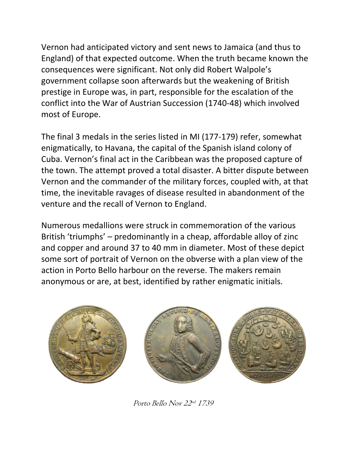Vernon had anticipated victory and sent news to Jamaica (and thus to England) of that expected outcome. When the truth became known the consequences were significant. Not only did Robert Walpole's government collapse soon afterwards but the weakening of British prestige in Europe was, in part, responsible for the escalation of the conflict into the War of Austrian Succession (1740-48) which involved most of Europe.

The final 3 medals in the series listed in MI (177-179) refer, somewhat enigmatically, to Havana, the capital of the Spanish island colony of Cuba. Vernon's final act in the Caribbean was the proposed capture of the town. The attempt proved a total disaster. A bitter dispute between Vernon and the commander of the military forces, coupled with, at that time, the inevitable ravages of disease resulted in abandonment of the venture and the recall of Vernon to England.

Numerous medallions were struck in commemoration of the various British 'triumphs' – predominantly in a cheap, affordable alloy of zinc and copper and around 37 to 40 mm in diameter. Most of these depict some sort of portrait of Vernon on the obverse with a plan view of the action in Porto Bello harbour on the reverse. The makers remain anonymous or are, at best, identified by rather enigmatic initials.



Porto Bello Nov 22<sup>nd</sup> 1739